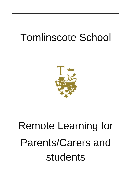# Tomlinscote School



# Remote Learning for Parents/Carers and students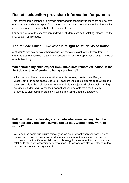# **Remote education provision: information for parents**

This information is intended to provide clarity and transparency to students and parents or carers about what to expect from remote education where national or local restrictions require entire cohorts (or bubbles) to remain at home.

For details of what to expect where individual students are self-isolating, please see the final section of this page.

### **The remote curriculum: what is taught to students at home**

A student's first day or two of being educated remotely might look different from our standard approach, while we take all necessary actions to prepare for a longer period of remote teaching.

#### **What should my child expect from immediate remote education in the first day or two of students being sent home?**

All students will be able to access their remote learning provision via Google Classroom or in some cases OneNote. Teachers will direct students as to which one they use. This is the main location where individual subjects will place their learning activities. Students will follow their normal school timetable from the first day. Students to staff communication will take place using Google Classroom.

#### **Following the first few days of remote education, will my child be taught broadly the same curriculum as they would if they were in school?**

We teach the same curriculum remotely as we do in school wherever possible and appropriate. However, we may need to make some adaptations in certain subjects. For example, within Creative Arts and Technology lessons, adaptations are made in relation to students' accessibility to resources. PE lessons are also adapted to reflect accessibility to specific equipment.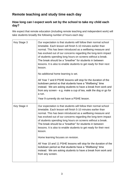# **Remote teaching and study time each day**

#### **How long can I expect work set by the school to take my child each day?**

We expect that remote education (including remote teaching and independent work) will take students broadly the following number of hours each day:

| Key Stage 3 | Our expectation is that students will follow their normal school<br>timetable. Each lesson will finish 5-10 minutes earlier than<br>normal. This has been introduced as a wellbeing measure and<br>has evolved out of our concerns regarding the long-term impact<br>of students spending long hours on screens without a break.<br>The break should be a "breather" for students in between<br>lessons. It is also to enable students to get ready for their next<br>lesson.<br>No additional home learning is set. |
|-------------|----------------------------------------------------------------------------------------------------------------------------------------------------------------------------------------------------------------------------------------------------------------------------------------------------------------------------------------------------------------------------------------------------------------------------------------------------------------------------------------------------------------------|
|             | All Year 7 and 8 PSHE lessons will stop for the duration of the<br>lockdown period so that students have a "Wellbeing" time<br>instead. We are asking students to have a break from work and<br>from any screen - e.g. make a cup of tea, walk the dog or go for<br>a run.                                                                                                                                                                                                                                           |
|             | Year 9 currently do not have a PSHE lesson.                                                                                                                                                                                                                                                                                                                                                                                                                                                                          |
| Key Stage 4 | Our expectation is that students will follow their normal school<br>timetable. Each lesson will finish 5-10 minutes earlier than<br>normal. This has been introduced as a wellbeing measure and<br>has evolved out of our concerns regarding the long-term impact<br>of students spending long hours on screens without a break.<br>The break should be a "breather" for students in between<br>lessons. It is also to enable students to get ready for their next<br>lesson.                                        |
|             | Home learning focuses on revision.                                                                                                                                                                                                                                                                                                                                                                                                                                                                                   |
|             | All Year 10 and 11 PSHE lessons will stop for the duration of the<br>lockdown period so that students have a "Wellbeing" time<br>instead. We are asking students to have a break from work and<br>from any screen.                                                                                                                                                                                                                                                                                                   |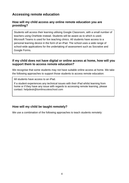# **Accessing remote education**

#### **How will my child access any online remote education you are providing?**

Students will access their learning utilising Google Classroom, with a small number of teachers using OneNote instead. Students will be aware as to which is used. Microsoft Teams is used for live teaching clinics. All students have access to a personal learning device in the form of an iPad. The school uses a wide range of school-wide applications for the undertaking of assessment such as Socrative and Google Forms.

#### **If my child does not have digital or online access at home, how will you support them to access remote education?**

We recognise that some students may not have suitable online access at home. We take the following approaches to support those students to access remote education:

All students have access to an iPad.

If a student experiences any technical issues with their iPad whilst learning from home or if they have any issue with regards to accessing remote learning, please contact: [helpdesk@tomlinscoteschool.com](mailto:helpdesk@tomlinscoteschool.com)

#### **How will my child be taught remotely?**

We use a combination of the following approaches to teach students remotely: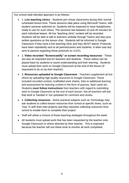Our school-wide blended approach is as follows:

- 1. **Live teaching clinics** Students join virtual classrooms during their normal scheduled lesson time. These sessions take place using Microsoft Teams, with student cameras switched on. Students will be expected to have headphones ready to use for such clinics. The sessions last between 10 and 45 minutes for each individual lesson. All live "teaching clinic" content will be recorded. Students will be able to talk to teachers verbally through Teams and also post written questions on the lesson chat. Students will be informed in Google Classroom if they have a live teaching clinic and they *MUST* attend. Protocols have been repeatedly sent to all parents/carers and students. A letter was last sent to parents regarding these protocols on 1/1/21.
- 2. **Video recorded "Screencastify" or screen recording resources** These are also an important tool for teachers and students. These videos can be played back by students to assist understanding and their learning. Students must upload their work on Google Classroom at the end of the lesson (if requested to do so by their teacher).
- 3. **Resources uploaded to Google Classroom** Teachers supplement all live clinics by uploading high quality resources to Google Classroom. These included recorded content, scaffolded work sheets, links to additional learning and assessment for learning content in the form of quizzes, flash cards etc. Students **must follow instructions** from teachers with regard to submitting work to Google Classroom at the end of each lesson. Not all teachers will ask that work is 'handed in' but uploaded for comment and review.
- 4. **Collecting resources** Some practical subjects such as Technology may ask students to collect lesson resources from school at specific times, such as Year 7s with their train projects and they have/are collecting resources from school to enable them to complete their project.
- Staff will utilise a mixture of these teaching strategies throughout the week.
- All students must upload work that has been requested by the teacher onto Google Classroom or where directed by their teacher. This is important because the teacher will use these tools to monitor all work completed.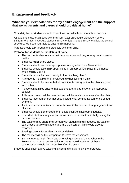# **Engagement and feedback**

#### **What are your expectations for my child's engagement and the support that we as parents and carers should provide at home?**

On a daily basis, students should follow their normal school timetable of lessons.

• All students must touch base with their form tutor on Google Classroom before 8.55am. We must have ALL students ready for learning and ready to follow the school structure. We need your help to ensure this happens.

Parents should talk through the protocols with their child:-

#### **Protocol for students self-isolating at home**

- The teacher is able to share their face on video and may or may not choose to do that.
- Students **must** share video.
- Students should consider appropriate clothing when on a Teams clinic.
- Students should also think about being in an appropriate place in the house when joining a clinic.
- Students must all arrive promptly to the "teaching clinic".
- All students must blur their background when joining a clinic.
- Students should be aware that all participants taking part in the clinic can see each other.
- Please can families ensure that students are able to have an uninterrupted session.
- All lesson content will be recorded and will be available to view after the clinic.
- Students must remember that once posted, chat comments cannot be edited by them.
- Audio and video are live and students need to be mindful of language and tone of voice.
- Students should demonstrate their usual positive classroom etiquette.
- If needed, students may ask questions either in the chat or verbally, using the hand up feature.
- The teacher may share their screen with students and if needed, the teacher can choose to allow a student to share their screen. This would also be recorded.
- Sharing screens for students is off by default.
- The teacher will be the last person to leave the classroom.
- Some students might find it easier to ask questions of the teacher in the Teams chat. Normal conversation etiquette would apply. All of these conversations would be accessible after the event.

Students should join all live teaching clinics and should follow the protocols.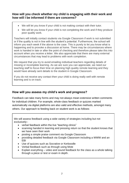#### **How will you check whether my child is engaging with their work and how will I be informed if there are concerns?**

- We will let you know if your child is not making contact with their tutor.
- We will let you know if your child is not completing the work and if they produce poor quality work.

Teachers will initially contact students via Google Classroom if work is not submitted or if the quality is not in line with the student's potential. Furthermore, the school will inform you each week if the above is the case. This is purely to let you know what is happening and to provoke a discussion at home. There may be circumstances where work is handed in late or after the point of checking and therefore please take this into account when you receive a letter. We also appreciate that there are many external circumstances that may lead to problems with work completion.

We request that you try to avoid emailing individual teachers regarding details of missing or incomplete learning. As we are sure you can appreciate, we need our teaching staff to focus their time on planning high quality remote learning and they would have already sent details to the student in Google Classroom.

If you do not receive any contact then your child is doing really well with remote learning and is on track.

#### **How will you assess my child's work and progress?**

Feedback can take many forms and may not always mean extensive written comments for individual children. For example, whole-class feedback or quizzes marked automatically via digital platforms are also valid and effective methods, amongst many others. Our approach to feeding back on student work is as follows:

We will assess feedback using a wide variety of strategies including but not exclusively:-

- verbal feedback within the live "teaching clinics"
- scanning handed in learning and pressing return so that the student knows that we have seen their work
- posting a simple praise comment via Google Classroom
- providing detailed feedback via Google Classroom including a WWW and an EBI
- Use of quizzes such as Socrative or Kerboodle
- Verbal feedback such as through using Mote
- Explain everything video and sound feedback for the class as a whole talking through a piece or test or exam in depth.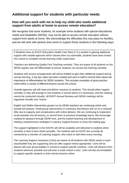# **Additional support for students with particular needs**

#### **How will you work with me to help my child who needs additional support from adults at home to access remote education?**

We recognise that some students, for example some students with special educational needs and disabilities (SEND), may not be able to access remote education without support from adults at home. We acknowledge the difficulties this may place on families, and we will work with parents and carers to support those students in the following ways:

If Students have an EHCP (Education Health Care Plan) or if a student is gaining additional support with outside agencies which classes them as vulnerable, students have been invited into school to complete remote learning under supervision.

Teachers are delivering Quality First Teaching remotely. They are aware of all students on the SEND register and will differentiate to ensure students can access the learning remotely.

Students with access arrangements will still be entitled to gain their additional support during remote learning. A top tips video has been created and sent to staff to remind them about the importance of differentiation for SEND students. This includes examples of good practice noted within a variety of different lessons across the school.

Outside agencies will still meet and deliver sessions to students. This should either happen remotely or they will arrange to visit students in school where it is necessary, and the meeting cannot be conducted virtually. All EHCP Annual Reviews and SEND meetings will be organised virtually over Teams.

English and Maths Intervention groups run by SEND teachers are continuing online and include live lessons. Small group interventions in numeracy and literacy will run on a reduced offer due to capacity and complications with online delivery. We are continuing to implement recall activities into all lessons, to remind them of previous knowledge learnt. We encourage reading for pleasure through DEAR time, and the explicit teaching and development of reading comprehension strategies in Literacy Support lessons to close the reading gap.

The support highlighted in the EHCPs will still be available and delivered to students either remotely or face to face where possible. The students with an EHCP are currently all mentored by a member of Learning Support, who check in with them every morning.

The Learning Support Assistants (LSAs) are aware of all students with SEND needs in each class/bubble they are supporting and can offer support where appropriate. LSAs will be placed with year group bubbles in school to support specific students. LSAs will distance from students wherever possible and will wear a mask or/and a visor. LSAs will also be timetabled to support specific students in their remote lessons online.